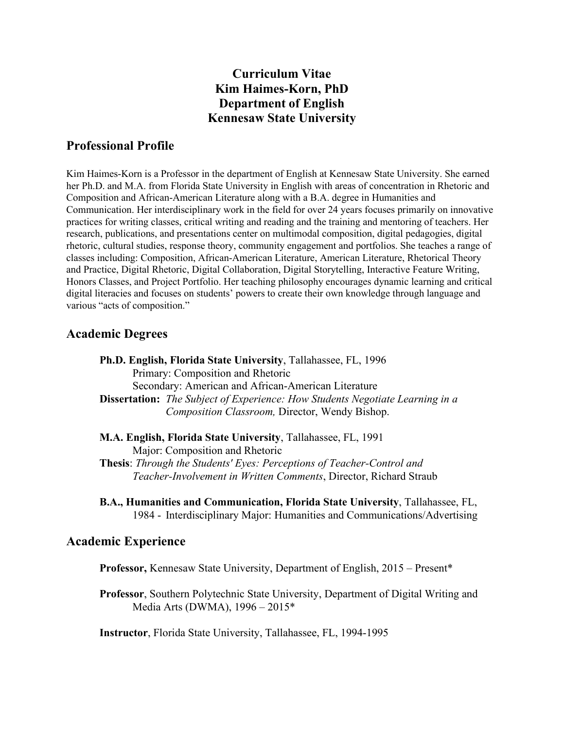# **Curriculum Vitae Kim Haimes-Korn, PhD Department of English Kennesaw State University**

# **Professional Profile**

Kim Haimes-Korn is a Professor in the department of English at Kennesaw State University. She earned her Ph.D. and M.A. from Florida State University in English with areas of concentration in Rhetoric and Composition and African-American Literature along with a B.A. degree in Humanities and Communication. Her interdisciplinary work in the field for over 24 years focuses primarily on innovative practices for writing classes, critical writing and reading and the training and mentoring of teachers. Her research, publications, and presentations center on multimodal composition, digital pedagogies, digital rhetoric, cultural studies, response theory, community engagement and portfolios. She teaches a range of classes including: Composition, African-American Literature, American Literature, Rhetorical Theory and Practice, Digital Rhetoric, Digital Collaboration, Digital Storytelling, Interactive Feature Writing, Honors Classes, and Project Portfolio. Her teaching philosophy encourages dynamic learning and critical digital literacies and focuses on students' powers to create their own knowledge through language and various "acts of composition."

# **Academic Degrees**

**Ph.D. English, Florida State University**, Tallahassee, FL, 1996 Primary: Composition and Rhetoric Secondary: American and African-American Literature **Dissertation:** *The Subject of Experience: How Students Negotiate Learning in a Composition Classroom,* Director, Wendy Bishop.

**M.A. English, Florida State University**, Tallahassee, FL, 1991 Major: Composition and Rhetoric **Thesis**: *Through the Students' Eyes: Perceptions of Teacher-Control and Teacher-Involvement in Written Comments*, Director, Richard Straub

**B.A., Humanities and Communication, Florida State University**, Tallahassee, FL, 1984 - Interdisciplinary Major: Humanities and Communications/Advertising

## **Academic Experience**

**Professor,** Kennesaw State University, Department of English, 2015 – Present\*

**Professor**, Southern Polytechnic State University, Department of Digital Writing and Media Arts (DWMA), 1996 – 2015\*

**Instructor**, Florida State University, Tallahassee, FL, 1994-1995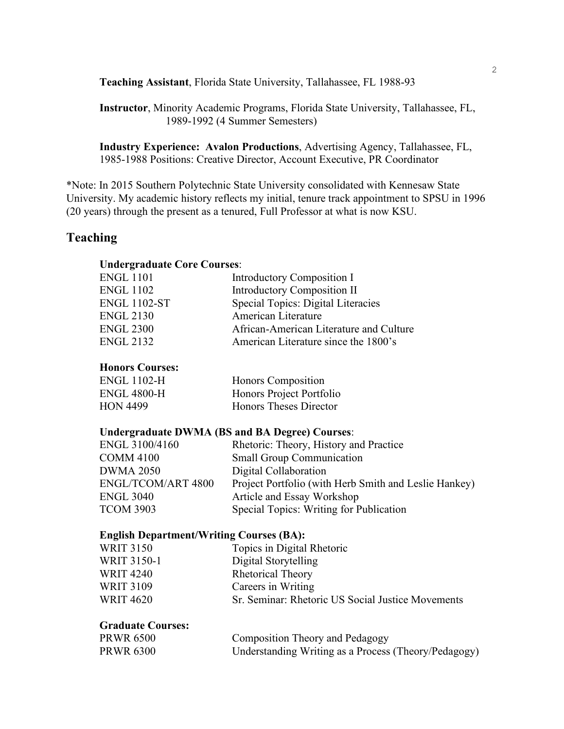**Teaching Assistant**, Florida State University, Tallahassee, FL 1988-93

**Instructor**, Minority Academic Programs, Florida State University, Tallahassee, FL, 1989-1992 (4 Summer Semesters)

**Industry Experience: Avalon Productions**, Advertising Agency, Tallahassee, FL, 1985-1988 Positions: Creative Director, Account Executive, PR Coordinator

\*Note: In 2015 Southern Polytechnic State University consolidated with Kennesaw State University. My academic history reflects my initial, tenure track appointment to SPSU in 1996 (20 years) through the present as a tenured, Full Professor at what is now KSU.

## **Teaching**

#### **Undergraduate Core Courses**:

| ENGL 1101           | Introductory Composition I              |
|---------------------|-----------------------------------------|
| <b>ENGL 1102</b>    | <b>Introductory Composition II</b>      |
| <b>ENGL 1102-ST</b> | Special Topics: Digital Literacies      |
| <b>ENGL 2130</b>    | American Literature                     |
| <b>ENGL 2300</b>    | African-American Literature and Culture |
| <b>ENGL 2132</b>    | American Literature since the 1800's    |

## **Honors Courses:**

| <b>ENGL 1102-H</b> | Honors Composition       |
|--------------------|--------------------------|
| <b>ENGL 4800-H</b> | Honors Project Portfolio |
| <b>HON 4499</b>    | Honors Theses Director   |

#### **Undergraduate DWMA (BS and BA Degree) Courses**:

| ENGL 3100/4160            | Rhetoric: Theory, History and Practice                |
|---------------------------|-------------------------------------------------------|
| <b>COMM 4100</b>          | <b>Small Group Communication</b>                      |
| <b>DWMA 2050</b>          | Digital Collaboration                                 |
| <b>ENGL/TCOM/ART 4800</b> | Project Portfolio (with Herb Smith and Leslie Hankey) |
| <b>ENGL 3040</b>          | Article and Essay Workshop                            |
| <b>TCOM 3903</b>          | Special Topics: Writing for Publication               |

#### **English Department/Writing Courses (BA):**

| Topics in Digital Rhetoric                        |
|---------------------------------------------------|
| Digital Storytelling                              |
| <b>Rhetorical Theory</b>                          |
| Careers in Writing                                |
| Sr. Seminar: Rhetoric US Social Justice Movements |
|                                                   |

## **Graduate Courses:**

| <b>PRWR 6500</b> | <b>Composition Theory and Pedagogy</b>               |
|------------------|------------------------------------------------------|
| <b>PRWR 6300</b> | Understanding Writing as a Process (Theory/Pedagogy) |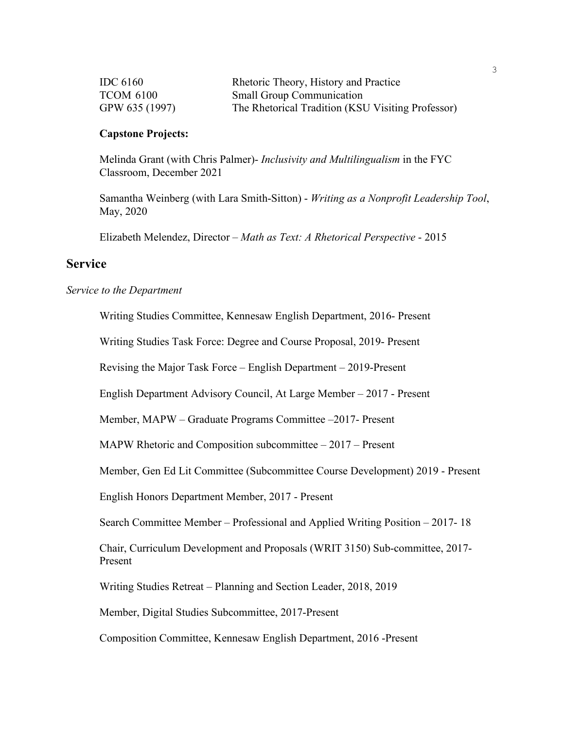| IDC $6160$       | Rhetoric Theory, History and Practice             |
|------------------|---------------------------------------------------|
| <b>TCOM 6100</b> | <b>Small Group Communication</b>                  |
| GPW 635 (1997)   | The Rhetorical Tradition (KSU Visiting Professor) |

#### **Capstone Projects:**

Melinda Grant (with Chris Palmer)- *Inclusivity and Multilingualism* in the FYC Classroom, December 2021

Samantha Weinberg (with Lara Smith-Sitton) - *Writing as a Nonprofit Leadership Tool*, May, 2020

Elizabeth Melendez, Director – *Math as Text: A Rhetorical Perspective* - 2015

## **Service**

#### *Service to the Department*

Writing Studies Committee, Kennesaw English Department, 2016- Present

Writing Studies Task Force: Degree and Course Proposal, 2019- Present

Revising the Major Task Force – English Department – 2019-Present

English Department Advisory Council, At Large Member – 2017 - Present

Member, MAPW – Graduate Programs Committee –2017- Present

MAPW Rhetoric and Composition subcommittee – 2017 – Present

Member, Gen Ed Lit Committee (Subcommittee Course Development) 2019 - Present

English Honors Department Member, 2017 - Present

Search Committee Member – Professional and Applied Writing Position – 2017- 18

Chair, Curriculum Development and Proposals (WRIT 3150) Sub-committee, 2017- Present

Writing Studies Retreat – Planning and Section Leader, 2018, 2019

Member, Digital Studies Subcommittee, 2017-Present

Composition Committee, Kennesaw English Department, 2016 -Present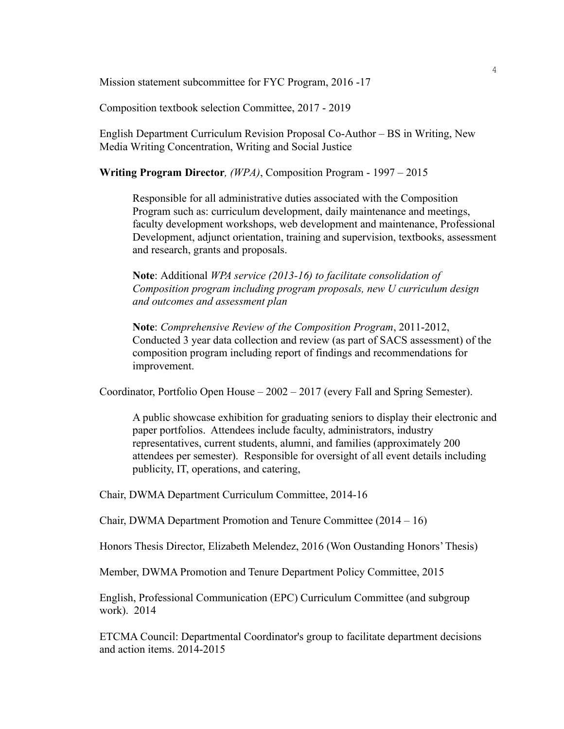Mission statement subcommittee for FYC Program, 2016 -17

Composition textbook selection Committee, 2017 - 2019

English Department Curriculum Revision Proposal Co-Author – BS in Writing, New Media Writing Concentration, Writing and Social Justice

**Writing Program Director***, (WPA)*, Composition Program - 1997 – 2015

Responsible for all administrative duties associated with the Composition Program such as: curriculum development, daily maintenance and meetings, faculty development workshops, web development and maintenance, Professional Development, adjunct orientation, training and supervision, textbooks, assessment and research, grants and proposals.

**Note**: Additional *WPA service (2013-16) to facilitate consolidation of Composition program including program proposals, new U curriculum design and outcomes and assessment plan*

**Note**: *Comprehensive Review of the Composition Program*, 2011-2012, Conducted 3 year data collection and review (as part of SACS assessment) of the composition program including report of findings and recommendations for improvement.

Coordinator, Portfolio Open House – 2002 – 2017 (every Fall and Spring Semester).

A public showcase exhibition for graduating seniors to display their electronic and paper portfolios. Attendees include faculty, administrators, industry representatives, current students, alumni, and families (approximately 200 attendees per semester). Responsible for oversight of all event details including publicity, IT, operations, and catering,

Chair, DWMA Department Curriculum Committee, 2014-16

Chair, DWMA Department Promotion and Tenure Committee (2014 – 16)

Honors Thesis Director, Elizabeth Melendez, 2016 (Won Oustanding Honors' Thesis)

Member, DWMA Promotion and Tenure Department Policy Committee, 2015

English, Professional Communication (EPC) Curriculum Committee (and subgroup work). 2014

ETCMA Council: Departmental Coordinator's group to facilitate department decisions and action items. 2014-2015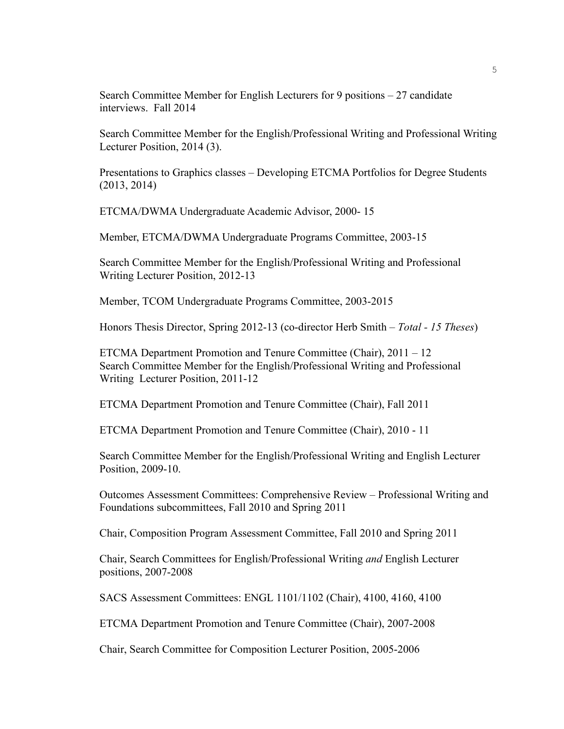Search Committee Member for English Lecturers for 9 positions – 27 candidate interviews. Fall 2014

Search Committee Member for the English/Professional Writing and Professional Writing Lecturer Position, 2014 (3).

Presentations to Graphics classes – Developing ETCMA Portfolios for Degree Students (2013, 2014)

ETCMA/DWMA Undergraduate Academic Advisor, 2000- 15

Member, ETCMA/DWMA Undergraduate Programs Committee, 2003-15

Search Committee Member for the English/Professional Writing and Professional Writing Lecturer Position, 2012-13

Member, TCOM Undergraduate Programs Committee, 2003-2015

Honors Thesis Director, Spring 2012-13 (co-director Herb Smith – *Total - 15 Theses*)

ETCMA Department Promotion and Tenure Committee (Chair), 2011 – 12 Search Committee Member for the English/Professional Writing and Professional Writing Lecturer Position, 2011-12

ETCMA Department Promotion and Tenure Committee (Chair), Fall 2011

ETCMA Department Promotion and Tenure Committee (Chair), 2010 - 11

Search Committee Member for the English/Professional Writing and English Lecturer Position, 2009-10.

Outcomes Assessment Committees: Comprehensive Review – Professional Writing and Foundations subcommittees, Fall 2010 and Spring 2011

Chair, Composition Program Assessment Committee, Fall 2010 and Spring 2011

Chair, Search Committees for English/Professional Writing *and* English Lecturer positions, 2007-2008

SACS Assessment Committees: ENGL 1101/1102 (Chair), 4100, 4160, 4100

ETCMA Department Promotion and Tenure Committee (Chair), 2007-2008

Chair, Search Committee for Composition Lecturer Position, 2005-2006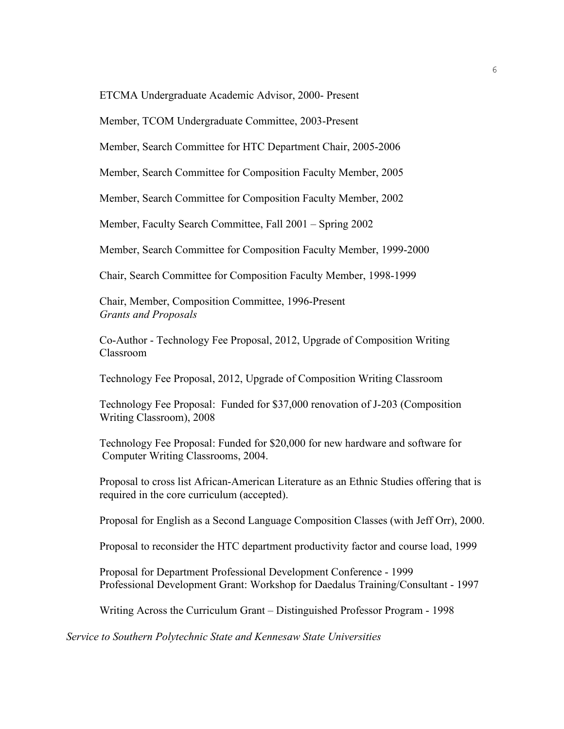ETCMA Undergraduate Academic Advisor, 2000- Present

Member, TCOM Undergraduate Committee, 2003-Present

Member, Search Committee for HTC Department Chair, 2005-2006

Member, Search Committee for Composition Faculty Member, 2005

Member, Search Committee for Composition Faculty Member, 2002

Member, Faculty Search Committee, Fall 2001 – Spring 2002

Member, Search Committee for Composition Faculty Member, 1999-2000

Chair, Search Committee for Composition Faculty Member, 1998-1999

Chair, Member, Composition Committee, 1996-Present *Grants and Proposals*

Co-Author - Technology Fee Proposal, 2012, Upgrade of Composition Writing Classroom

Technology Fee Proposal, 2012, Upgrade of Composition Writing Classroom

Technology Fee Proposal: Funded for \$37,000 renovation of J-203 (Composition Writing Classroom), 2008

Technology Fee Proposal: Funded for \$20,000 for new hardware and software for Computer Writing Classrooms, 2004.

Proposal to cross list African-American Literature as an Ethnic Studies offering that is required in the core curriculum (accepted).

Proposal for English as a Second Language Composition Classes (with Jeff Orr), 2000.

Proposal to reconsider the HTC department productivity factor and course load, 1999

Proposal for Department Professional Development Conference - 1999 Professional Development Grant: Workshop for Daedalus Training/Consultant - 1997

Writing Across the Curriculum Grant – Distinguished Professor Program - 1998

*Service to Southern Polytechnic State and Kennesaw State Universities*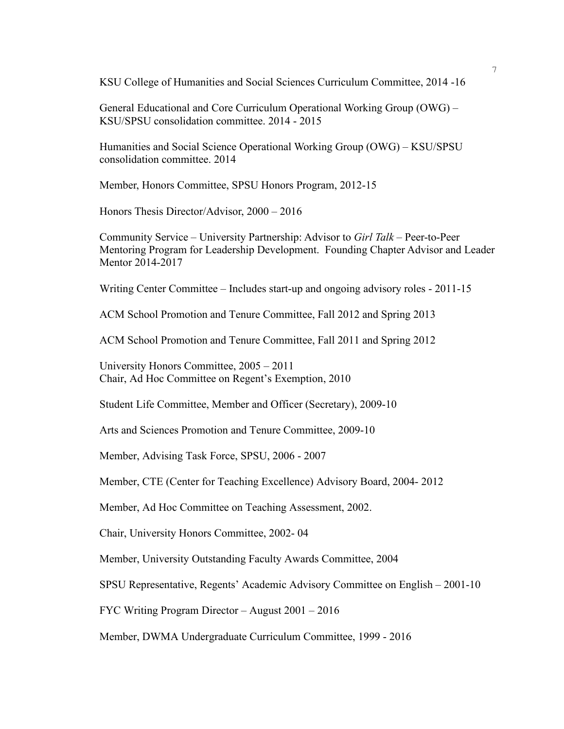KSU College of Humanities and Social Sciences Curriculum Committee, 2014 -16

General Educational and Core Curriculum Operational Working Group (OWG) – KSU/SPSU consolidation committee. 2014 - 2015

Humanities and Social Science Operational Working Group (OWG) – KSU/SPSU consolidation committee. 2014

Member, Honors Committee, SPSU Honors Program, 2012-15

Honors Thesis Director/Advisor, 2000 – 2016

Community Service – University Partnership: Advisor to *Girl Talk* – Peer-to-Peer Mentoring Program for Leadership Development. Founding Chapter Advisor and Leader Mentor 2014-2017

Writing Center Committee – Includes start-up and ongoing advisory roles - 2011-15

ACM School Promotion and Tenure Committee, Fall 2012 and Spring 2013

ACM School Promotion and Tenure Committee, Fall 2011 and Spring 2012

University Honors Committee, 2005 – 2011 Chair, Ad Hoc Committee on Regent's Exemption, 2010

Student Life Committee, Member and Officer (Secretary), 2009-10

Arts and Sciences Promotion and Tenure Committee, 2009-10

Member, Advising Task Force, SPSU, 2006 - 2007

Member, CTE (Center for Teaching Excellence) Advisory Board, 2004- 2012

Member, Ad Hoc Committee on Teaching Assessment, 2002.

Chair, University Honors Committee, 2002- 04

Member, University Outstanding Faculty Awards Committee, 2004

SPSU Representative, Regents' Academic Advisory Committee on English – 2001-10

FYC Writing Program Director – August 2001 – 2016

Member, DWMA Undergraduate Curriculum Committee, 1999 - 2016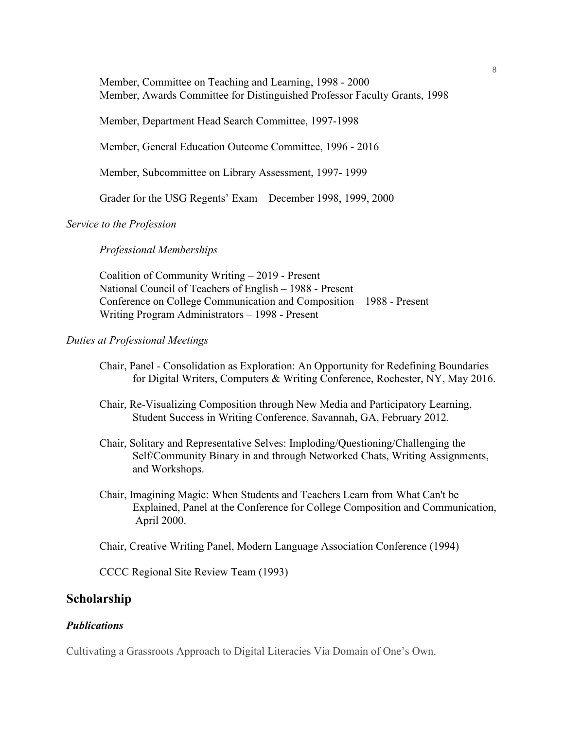Member, Committee on Teaching and Learning, 1998 - 2000 Member, Awards Committee for Distinguished Professor Faculty Grants, 1998

Member, Department Head Search Committee, 1997-1998

Member, General Education Outcome Committee, 1996 - 2016

Member, Subcommittee on Library Assessment, 1997- 1999

Grader for the USG Regents' Exam – December 1998, 1999, 2000

*Service to the Profession*

*Professional Memberships*

Coalition of Community Writing – 2019 - Present National Council of Teachers of English – 1988 - Present Conference on College Communication and Composition – 1988 - Present Writing Program Administrators – 1998 - Present

#### *Duties at Professional Meetings*

- Chair, Panel *-* Consolidation as Exploration: An Opportunity for Redefining Boundaries for Digital Writers, Computers & Writing Conference, Rochester, NY, May 2016.
- Chair, Re-Visualizing Composition through New Media and Participatory Learning, Student Success in Writing Conference, Savannah, GA, February 2012.
- Chair, Solitary and Representative Selves: Imploding/Questioning/Challenging the Self/Community Binary in and through Networked Chats, Writing Assignments, and Workshops.
- Chair, Imagining Magic: When Students and Teachers Learn from What Can't be Explained, Panel at the Conference for College Composition and Communication, April 2000.

Chair, Creative Writing Panel, Modern Language Association Conference (1994)

CCCC Regional Site Review Team (1993)

## **Scholarship**

#### *Publications*

Cultivating a Grassroots Approach to Digital Literacies Via Domain of One's Own.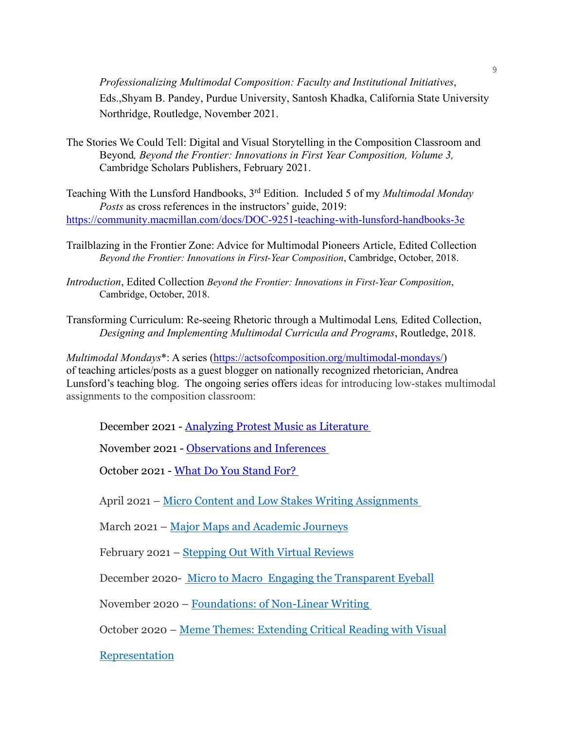*Professionalizing Multimodal Composition: Faculty and Institutional Initiatives*, Eds.,Shyam B. Pandey, Purdue University, Santosh Khadka, California State University Northridge, Routledge, November 2021.

The Stories We Could Tell: Digital and Visual Storytelling in the Composition Classroom and Beyond*, Beyond the Frontier: Innovations in First Year Composition, Volume 3,* Cambridge Scholars Publishers, February 2021.

Teaching With the Lunsford Handbooks, 3rd Edition. Included 5 of my *Multimodal Monday Posts* as cross references in the instructors' guide, 2019: <https://community.macmillan.com/docs/DOC-9251-teaching-with-lunsford-handbooks-3e>

- Trailblazing in the Frontier Zone: Advice for Multimodal Pioneers Article, Edited Collection *Beyond the Frontier: Innovations in First-Year Composition*, Cambridge, October, 2018.
- *Introduction*, Edited Collection *Beyond the Frontier: Innovations in First-Year Composition*, Cambridge, October, 2018.
- Transforming Curriculum: Re-seeing Rhetoric through a Multimodal Lens*,* Edited Collection, *Designing and Implementing Multimodal Curricula and Programs*, Routledge, 2018.

*Multimodal Mondays*\*: A series [\(https://actsofcomposition.org/multimodal-mondays/\)](https://actsofcomposition.org/multimodal-mondays/) of teaching articles/posts as a guest blogger on nationally recognized rhetorician, Andrea Lunsford's teaching blog. The ongoing series offers ideas for introducing low-stakes multimodal assignments to the composition classroom:

December 2021 - [Analyzing Protest Music as Literature](https://community.macmillanlearning.com/t5/bits-blog/multimodal-mondays-analyzing-protest-music-as-literature/ba-p/16059)

November 2021 - [Observations and Inferences](https://community.macmillanlearning.com/t5/bits-blog/multimodal-mondays-observations-and-inferences/ba-p/15925)

October 2021 - [What Do You Stand For?](https://community.macmillanlearning.com/t5/bits-blog/multimodal-mondays-what-do-you-stand-for/ba-p/15704)

April 2021 – Micro Content and Low Stakes Writing [Assignments](https://community.macmillanlearning.com/t5/bits-blog/multimodal-mondays-micro-content-and-low-stakes-writing/ba-p/14412)

March 2021 – Major Maps and [Academic](https://community.macmillanlearning.com/t5/bits-blog/multimodal-mondays-major-maps-and-academic-journeys/ba-p/14281) Journeys

February 2021 – [Stepping](https://community.macmillanlearning.com/t5/bits-blog/multimodal-mondays-stepping-out-with-virtual-reviews/ba-p/13924) Out With Virtual Reviews

December 2020- Micro to Macro Engaging the [Transparent](https://community.macmillanlearning.com/t5/bits-blog/multimodal-mondays-micro-to-macro-engaging-the-transparent/ba-p/13426) Eyeball

November 2020 – [Foundations:](https://community.macmillanlearning.com/t5/bits-blog/multimodal-mondays-foundations-of-non-linear-writing/ba-p/13164) of Non-Linear Writing

October 2020 – Meme Themes: [Extending](https://community.macmillanlearning.com/t5/bits-blog/multimodal-mondays-meme-themes-extending-critical-reading-with/ba-p/12978) Critical Reading with Visual

[Representation](https://community.macmillanlearning.com/t5/bits-blog/multimodal-mondays-meme-themes-extending-critical-reading-with/ba-p/12978)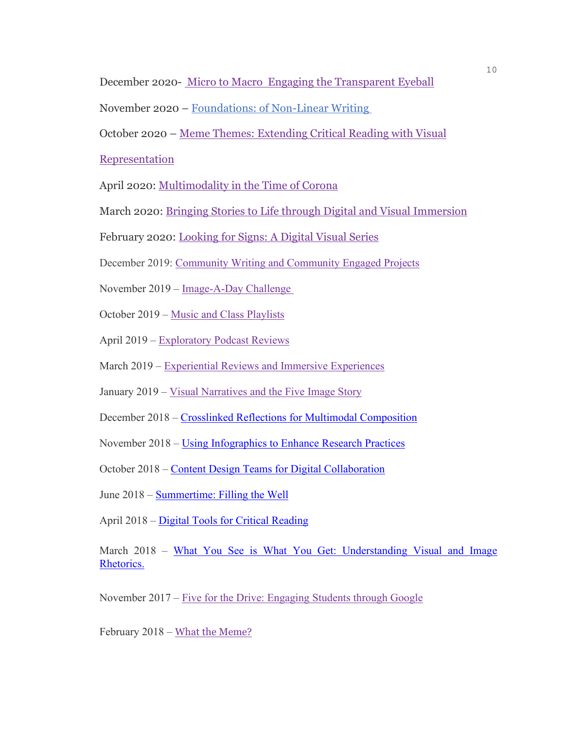December 2020- Micro to Macro Engaging the [Transparent](https://community.macmillanlearning.com/t5/bits-blog/multimodal-mondays-micro-to-macro-engaging-the-transparent/ba-p/13426) Eyeball

November 2020 – [Foundations:](https://community.macmillanlearning.com/t5/bits-blog/multimodal-mondays-foundations-of-non-linear-writing/ba-p/13164) of Non-Linear Writing

October 2020 – Meme Themes: [Extending](https://community.macmillanlearning.com/t5/bits-blog/multimodal-mondays-meme-themes-extending-critical-reading-with/ba-p/12978) Critical Reading with Visual

[Representation](https://community.macmillanlearning.com/t5/bits-blog/multimodal-mondays-meme-themes-extending-critical-reading-with/ba-p/12978)

April 2020: [Multimodality](https://community.macmillan.com/community/the-english-community/bedford-bits/blog/2020/04/13/multimodal-mondays-multimodality-in-the-time-of-corona) in the Time of Corona

March 2020: Bringing Stories to Life through Digital and Visual [Immersion](https://community.macmillan.com/community/the-english-community/bedford-bits/blog/2020/03/16/multimodal-mondays-bringing-stories-to-life-through-digital-and-visual-immersion)

February 2020: [Looking](https://community.macmillan.com/community/the-english-community/bedford-bits/blog/2020/02/11/multimodal-mondays-looking-for-signs-a-digital-visual-series) for Signs: A Digital Visual Series

December 2019: [Community Writing and Community Engaged Projects](https://community.macmillan.com/community/the-english-community/bedford-bits/blog/2019/12/16/multimodal-mondays-community-writing-and-community-engaged-projects)

November 2019 – [Image-A-Day](https://community.macmillan.com/community/the-english-community/bedford-bits/blog/2019/11/18/multimodal-mondays-image-a-day-challenge?et=watches.email.blog) Challenge

October 2019 – Music and Class [Playlists](https://community.macmillan.com/community/the-english-community/bedford-bits/blog/2019/10/21/multimodal-mondays-music-and-class-playlists?et=watches.email.blog)

April 2019 – [Exploratory](https://community.macmillan.com/community/the-english-community/bedford-bits/blog/2019/04/29/multimodal-mondays-exploratory-podcast-reviews) Podcast Reviews

March 2019 – [Experiential](https://community.macmillan.com/community/the-english-community/bedford-bits/blog/2019/03/18/multimodal-mondays-experiential-reviews-and-immersive-experiences?et=watches.email.blog) Reviews and Immersive Experiences

January 2019 – Visual [Narratives](https://community.macmillan.com/community/the-english-community/bedford-bits/blog/2019/02/04/multimodal-mondays-visual-narratives-and-the-five-image-story?et=watches.email.blog) and the Five Image Story

December 2018 – [Crosslinked Reflections for Multimodal Composition](https://community.macmillan.com/community/the-english-community/bedford-bits/blog/2018/12/17/multimodal-mondays-crosslinked-reflections-for-multimodal-composition)

November 2018 – [Using Infographics to Enhance Research Practices](https://community.macmillan.com/community/the-english-community/bedford-bits/blog/2018/11/19/multimodal-mondays-using-infographics-to-enhance-research-practices?et=watches.email.blog)

October 2018 – [Content Design Teams for Digital Collaboration](https://community.macmillan.com/community/the-english-community/bedford-bits/blog/2018/10/15/multimodal-mondays-content-design-teams-for-digital-collaboration?et=watches.email.blog)

June 2018 – [Summertime: Filling the Well](https://community.macmillan.com/community/the-english-community/bedford-bits/blog/2018/06/18/summertime-filling-the-well?et=watches.email.blog)

April 2018 – [Digital Tools for Critical Reading](https://community.macmillan.com/community/the-english-community/bedford-bits/blog/2018/04/30/multimodal-mondays-digital-tools-for-critical-reading?et=watches.email.blog)

March 2018 – What You See is What You Get: Understanding Visual and Image [Rhetorics.](https://community.macmillan.com/community/the-english-community/bedford-bits/blog/2018/03/26/multimodal-mondays-what-you-see-is-what-you-get-understanding-visual-and-image-rhetorics)

November 2017 – Five for the Drive: [Engaging](https://community.macmillan.com/community/the-english-community/bedford-bits/blog/2017/11/27/multimodal-mondays-five-for-the-drive-engaging-students-through-google?et=notification.mention) Students through Google

February 2018 – What the Meme?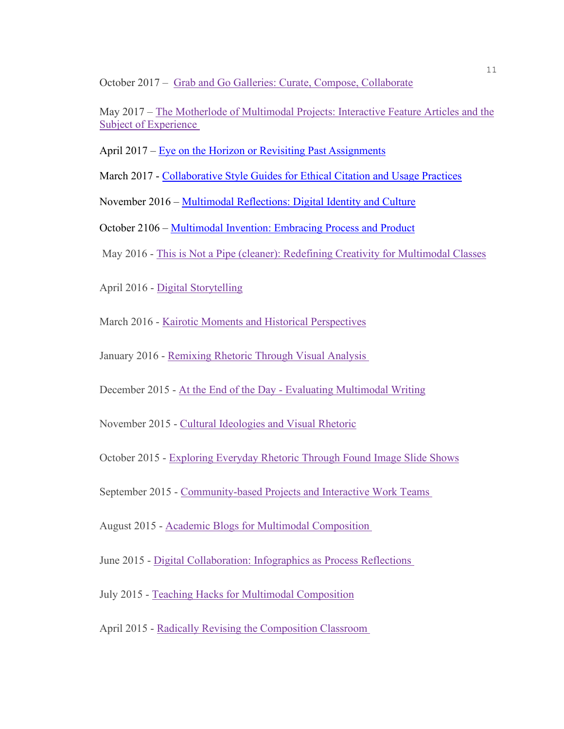October 2017 – Grab and Go Galleries: Curate, Compose, [Collaborate](https://community.macmillan.com/community/the-english-community/bedford-bits/blog/2017/10/16/multimodal-mondays-grab-and-go-galleries-curate-compose-collaborate)

May 2017 – The Motherlode of [Multimodal](https://community.macmillan.com/community/the-english-community/bedford-bits/blog/2017/05/08/multimodal-mondays-the-motherlode-of-multimodal-projects-interat) Projects: Interactive Feature Articles and the Subject of [Experience](https://community.macmillan.com/community/the-english-community/bedford-bits/blog/2017/05/08/multimodal-mondays-the-motherlode-of-multimodal-projects-interat)

April 2017 – [Eye on the Horizon or Revisiting Past Assignments](https://community.macmillan.com/community/the-english-community/bedford-bits/blog/2017/02/13/multimodal-mondays-eye-on-the-horizon-or-revisiting-past-assignments) 

March 2017 - [Collaborative Style Guides for Ethical Citation and Usage Practices](https://community.macmillan.com/community/the-english-community/bedford-bits/blog/2017/03/27/multimodal-mondays-collaborative-style-guides-for-ethical-citation-and-usage-practices) 

November 2016 – [Multimodal Reflections: Digital Identity and Culture](https://community.macmillan.com/community/the-english-community/bedford-bits/blog/2016/11/14/multimodal-mondays-multimodal-reflections-on-digital-identity-and-culture)

October 2106 – [Multimodal Invention: Embracing Process](https://community.macmillan.com/community/the-english-community/bedford-bits/blog/2016/10/10/multimodal-mondays-invention-and-embracing-process-and-product) and Product

May 2016 - [This is Not a Pipe \(cleaner\): Redefining Creativity for Multimodal Classes](https://community.macmillan.com/community/the-english-community/bedford-bits/blog/2016/05/30/this-is-not-a-pipe-re-defining-creativity-for-multimodal-classes)

April 2016 - [Digital Storytelling](https://community.macmillan.com/community/the-english-community/bedford-bits/blog/2016/04/18/multimodal-mondays-digital-storytelling)

March 2016 - [Kairotic Moments and Historical Perspectives](https://community.macmillan.com/community/the-english-community/bedford-bits/blog/2016/03/14/multimodal-mondays-kairotic-moments-and-historical-perspectives)

January 2016 - [Remixing Rhetoric Through Visual](https://community.macmillan.com/community/the-english-community/bedford-bits/blog/2016/02/01/multimodal-mondays-remixing-rhetoric-through-visual-analysis) Analysis

December 2015 - At the End of the Day - [Evaluating Multimodal Writing](https://community.macmillan.com/community/the-english-community/bedford-bits/blog/2015/12/07/multimodal-mondays-at-the-end-of-the-day-evaluating-multimodal-writing)

November 2015 - [Cultural Ideologies and Visual Rhetoric](https://community.macmillan.com/community/the-english-community/bedford-bits/blog/2015/11/09/multimodal-mondays-cultural-ideologies-and-visual-rhetoric)

October 2015 - [Exploring Everyday Rhetoric Through Found Image Slide Shows](https://community.macmillan.com/community/the-english-community/bedford-bits/blog/2015/10/13/multimodal-tuesday-exploring-everyday-rhetoric-through-found-image-slideshows)

September 2015 - [Community-based Projects and Interactive Work Teams](https://community.macmillan.com/community/the-english-community/bedford-bits/blog/2015/09/14/multimodal-mondays-community-based-projects-and-interactive-work-teams)

August 2015 - [Academic Blogs for Multimodal Composition](https://community.macmillan.com/community/the-english-community/bedford-bits/blog/2015/08/03/multimodal-mondays-academic-blogs-for-multimodal-composition)

June 2015 - [Digital Collaboration: Infographics as Process Reflections](https://community.macmillan.com/community/the-english-community/bedford-bits/blog/2015/06/22/multimodal-mondays-digital-collaboration-infographics-as-process-reflections)

July 2015 - [Teaching Hacks for Multimodal Composition](https://community.macmillan.com/community/the-english-community/bedford-bits/blog/2015/07/13/multimodal-mondays-teaching-hacks-for-multimodal-composition)

April 2015 - [Radically Revising the Composition Classroom](https://community.macmillan.com/community/the-english-community/bedford-bits/blog/2015/04/08/multimodal-mondays-radically-revising-the-composition-classroom)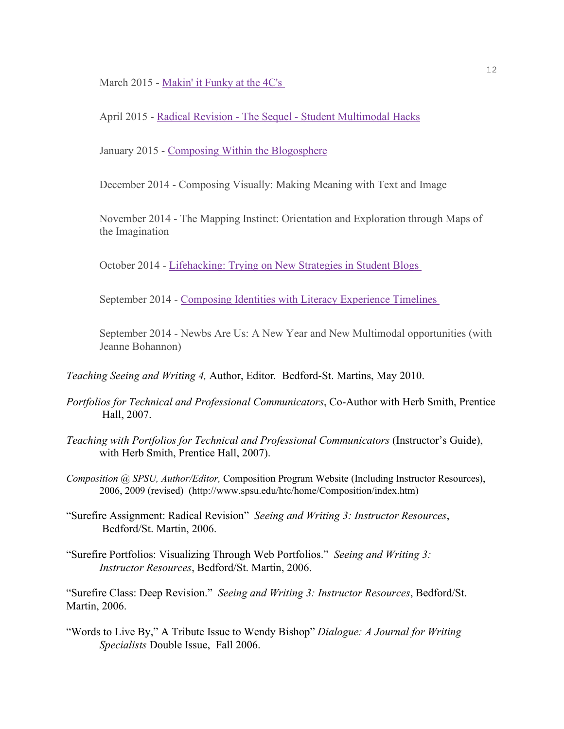March 2015 - [Makin' it Funky at the 4C's](https://community.macmillan.com/community/the-english-community/bedford-bits/blog/2015/04/17/multimodal-mondays-makin-it-funky-at-the-4cs)

April 2015 - Radical Revision - The Sequel - [Student Multimodal Hacks](https://community.macmillan.com/community/the-english-community/bedford-bits/blog/2015/04/28/multimodal-mondays-radical-revision-the-sequel-student-multimodal-hacks)

January 2015 - [Composing Within the Blogosphere](https://community.macmillan.com/community/the-english-community/bedford-bits/blog/2015/04/07/multimodal-mondays-composing-within-the-blogosphere)

December 2014 - Composing Visually: Making Meaning with Text and Image

November 2014 - The Mapping Instinct: Orientation and Exploration through Maps of the Imagination

October 2014 - [Lifehacking: Trying on New Strategies in Student Blogs](https://community.macmillan.com/community/the-english-community/bedford-bits/blog/2015/04/08/multimodal-mondays-lifehacking-trying-on-new-rhetorical-strategies-in-student-blogs)

September 2014 - [Composing Identities with Literacy](https://community.macmillan.com/community/the-english-community/bedford-bits/blog/2015/04/08/multimodal-mondays-composing-identities-with-literacies-experience-timelines) Experience Timelines

September 2014 - Newbs Are Us: A New Year and New Multimodal opportunities (with Jeanne Bohannon)

*Teaching Seeing and Writing 4,* Author, Editor*.* Bedford-St. Martins, May 2010.

- *Portfolios for Technical and Professional Communicators*, Co-Author with Herb Smith, Prentice Hall, 2007.
- *Teaching with Portfolios for Technical and Professional Communicators* (Instructor's Guide), with Herb Smith, Prentice Hall, 2007).
- *Composition @ SPSU, Author/Editor,* Composition Program Website (Including Instructor Resources), 2006, 2009 (revised) (http://www.spsu.edu/htc/home/Composition/index.htm)
- "Surefire Assignment: Radical Revision" *Seeing and Writing 3: Instructor Resources*, Bedford/St. Martin, 2006.
- "Surefire Portfolios: Visualizing Through Web Portfolios." *Seeing and Writing 3: Instructor Resources*, Bedford/St. Martin, 2006.

"Surefire Class: Deep Revision." *Seeing and Writing 3: Instructor Resources*, Bedford/St. Martin, 2006.

"Words to Live By," A Tribute Issue to Wendy Bishop" *Dialogue: A Journal for Writing Specialists* Double Issue, Fall 2006.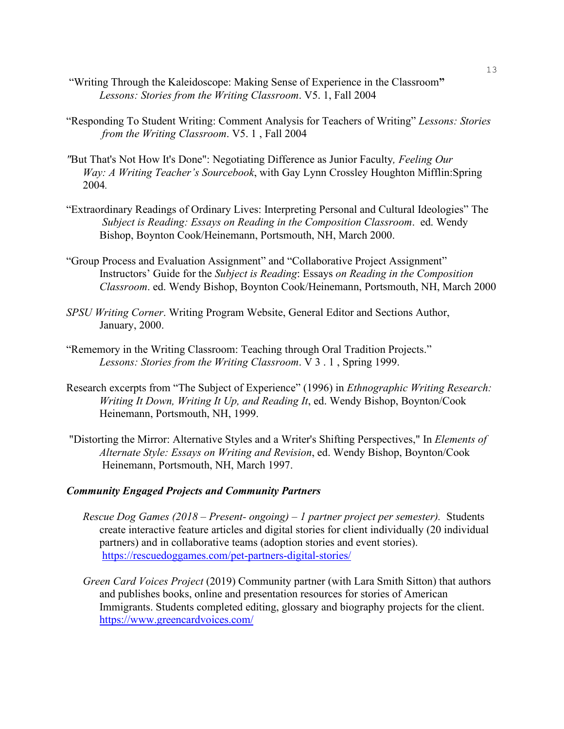- "Writing Through the Kaleidoscope: Making Sense of Experience in the Classroom**"** *Lessons: Stories from the Writing Classroom*. V5. 1, Fall 2004
- "Responding To Student Writing: Comment Analysis for Teachers of Writing" *Lessons: Stories from the Writing Classroom*. V5. 1 , Fall 2004
- *"*But That's Not How It's Done": Negotiating Difference as Junior Faculty*, Feeling Our Way: A Writing Teacher's Sourcebook*, with Gay Lynn Crossley Houghton Mifflin:Spring 2004*.*
- "Extraordinary Readings of Ordinary Lives: Interpreting Personal and Cultural Ideologies" The *Subject is Reading: Essays on Reading in the Composition Classroom*. ed. Wendy Bishop, Boynton Cook/Heinemann, Portsmouth, NH, March 2000.
- "Group Process and Evaluation Assignment" and "Collaborative Project Assignment" Instructors' Guide for the *Subject is Reading*: Essays *on Reading in the Composition Classroom*. ed. Wendy Bishop, Boynton Cook/Heinemann, Portsmouth, NH, March 2000
- *SPSU Writing Corner*. Writing Program Website, General Editor and Sections Author, January, 2000.
- "Rememory in the Writing Classroom: Teaching through Oral Tradition Projects." *Lessons: Stories from the Writing Classroom*. V 3 . 1 , Spring 1999.
- Research excerpts from "The Subject of Experience" (1996) in *Ethnographic Writing Research: Writing It Down, Writing It Up, and Reading It*, ed. Wendy Bishop, Boynton/Cook Heinemann, Portsmouth, NH, 1999.
- "Distorting the Mirror: Alternative Styles and a Writer's Shifting Perspectives," In *Elements of Alternate Style: Essays on Writing and Revision*, ed. Wendy Bishop, Boynton/Cook Heinemann, Portsmouth, NH, March 1997.

#### *Community Engaged Projects and Community Partners*

- *Rescue Dog Games (2018 – Present- ongoing) – 1 partner project per semester).* Students create interactive feature articles and digital stories for client individually (20 individual partners) and in collaborative teams (adoption stories and event stories). <https://rescuedoggames.com/pet-partners-digital-stories/>
- *Green Card Voices Project* (2019) Community partner (with Lara Smith Sitton) that authors and publishes books, online and presentation resources for stories of American Immigrants. Students completed editing, glossary and biography projects for the client. <https://www.greencardvoices.com/>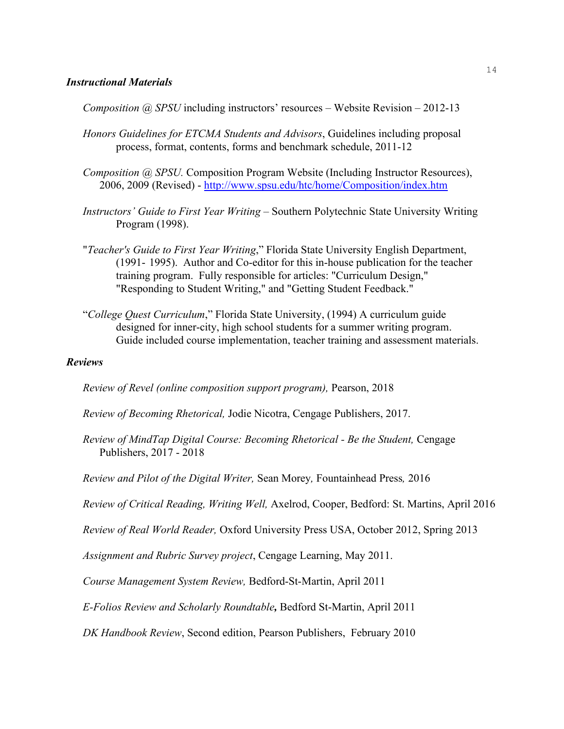## *Instructional Materials*

*Composition @ SPSU* including instructors' resources – Website Revision – 2012-13

- *Honors Guidelines for ETCMA Students and Advisors*, Guidelines including proposal process, format, contents, forms and benchmark schedule, 2011-12
- *Composition @ SPSU.* Composition Program Website (Including Instructor Resources), 2006, 2009 (Revised) - <http://www.spsu.edu/htc/home/Composition/index.htm>
- *Instructors' Guide to First Year Writing* Southern Polytechnic State University Writing Program (1998).
- "*Teacher's Guide to First Year Writing*," Florida State University English Department, (1991- 1995). Author and Co-editor for this in-house publication for the teacher training program. Fully responsible for articles: "Curriculum Design," "Responding to Student Writing," and "Getting Student Feedback."
- "*College Quest Curriculum*," Florida State University, (1994) A curriculum guide designed for inner-city, high school students for a summer writing program. Guide included course implementation, teacher training and assessment materials.

#### *Reviews*

*Review of Revel (online composition support program),* Pearson, 2018

*Review of Becoming Rhetorical,* Jodie Nicotra, Cengage Publishers, 2017.

*Review of MindTap Digital Course: Becoming Rhetorical - Be the Student,* Cengage Publishers, 2017 - 2018

*Review and Pilot of the Digital Writer,* Sean Morey*,* Fountainhead Press*,* 2016

*Review of Critical Reading, Writing Well,* Axelrod, Cooper, Bedford: St. Martins, April 2016

*Review of Real World Reader,* Oxford University Press USA, October 2012, Spring 2013

*Assignment and Rubric Survey project*, Cengage Learning, May 2011.

*Course Management System Review,* Bedford-St-Martin, April 2011

*E-Folios Review and Scholarly Roundtable,* Bedford St-Martin, April 2011

*DK Handbook Review*, Second edition, Pearson Publishers, February 2010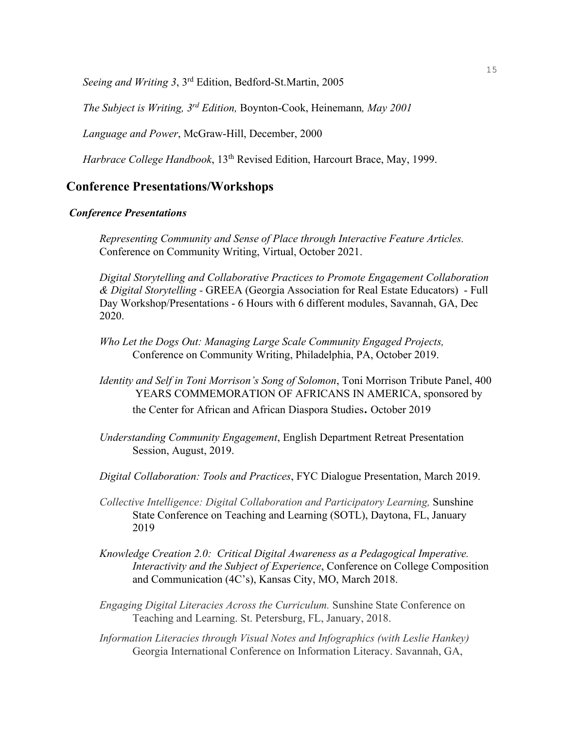*Seeing and Writing 3*, 3rd Edition, Bedford-St.Martin, 2005

*The Subject is Writing, 3rd Edition,* Boynton-Cook, Heinemann*, May 2001*

*Language and Power*, McGraw-Hill, December, 2000

*Harbrace College Handbook*, 13<sup>th</sup> Revised Edition, Harcourt Brace, May, 1999.

## **Conference Presentations/Workshops**

#### *Conference Presentations*

*Representing Community and Sense of Place through Interactive Feature Articles.* Conference on Community Writing, Virtual, October 2021.

*Digital Storytelling and Collaborative Practices to Promote Engagement Collaboration & Digital Storytelling -* GREEA (Georgia Association for Real Estate Educators) - Full Day Workshop/Presentations - 6 Hours with 6 different modules, Savannah, GA, Dec 2020.

- *Who Let the Dogs Out: Managing Large Scale Community Engaged Projects,* Conference on Community Writing, Philadelphia, PA, October 2019.
- *Identity and Self in Toni Morrison's Song of Solomon*, Toni Morrison Tribute Panel, 400 YEARS COMMEMORATION OF AFRICANS IN AMERICA, sponsored by

the Center for African and African Diaspora Studies. October 2019

*Understanding Community Engagement*, English Department Retreat Presentation Session, August, 2019.

*Digital Collaboration: Tools and Practices*, FYC Dialogue Presentation, March 2019.

- *Collective Intelligence: Digital Collaboration and Participatory Learning,* Sunshine State Conference on Teaching and Learning (SOTL), Daytona, FL, January 2019
- *Knowledge Creation 2.0: Critical Digital Awareness as a Pedagogical Imperative. Interactivity and the Subject of Experience*, Conference on College Composition and Communication (4C's), Kansas City, MO, March 2018.
- *Engaging Digital Literacies Across the Curriculum.* Sunshine State Conference on Teaching and Learning. St. Petersburg, FL, January, 2018.
- *Information Literacies through Visual Notes and Infographics (with Leslie Hankey)*  Georgia International Conference on Information Literacy. Savannah, GA,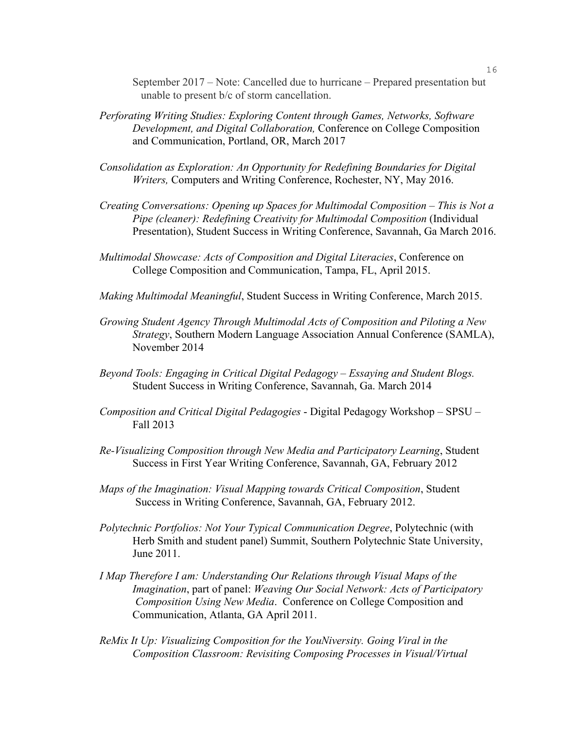September 2017 – Note: Cancelled due to hurricane – Prepared presentation but unable to present b/c of storm cancellation.

- *Perforating Writing Studies: Exploring Content through Games, Networks, Software Development, and Digital Collaboration,* Conference on College Composition and Communication, Portland, OR, March 2017
- *Consolidation as Exploration: An Opportunity for Redefining Boundaries for Digital Writers,* Computers and Writing Conference, Rochester, NY, May 2016.
- *Creating Conversations: Opening up Spaces for Multimodal Composition – This is Not a Pipe (cleaner): Redefining Creativity for Multimodal Composition* (Individual Presentation), Student Success in Writing Conference, Savannah, Ga March 2016.
- *Multimodal Showcase: Acts of Composition and Digital Literacies*, Conference on College Composition and Communication, Tampa, FL, April 2015.
- *Making Multimodal Meaningful*, Student Success in Writing Conference, March 2015.
- *Growing Student Agency Through Multimodal Acts of Composition and Piloting a New Strategy*, Southern Modern Language Association Annual Conference (SAMLA), November 2014
- *Beyond Tools: Engaging in Critical Digital Pedagogy – Essaying and Student Blogs.* Student Success in Writing Conference, Savannah, Ga. March 2014
- *Composition and Critical Digital Pedagogies* Digital Pedagogy Workshop SPSU Fall 2013
- *Re-Visualizing Composition through New Media and Participatory Learning*, Student Success in First Year Writing Conference, Savannah, GA, February 2012
- *Maps of the Imagination: Visual Mapping towards Critical Composition*, Student Success in Writing Conference, Savannah, GA, February 2012.
- *Polytechnic Portfolios: Not Your Typical Communication Degree*, Polytechnic (with Herb Smith and student panel) Summit, Southern Polytechnic State University, June 2011.
- *I Map Therefore I am: Understanding Our Relations through Visual Maps of the Imagination*, part of panel: *Weaving Our Social Network: Acts of Participatory Composition Using New Media*. Conference on College Composition and Communication, Atlanta, GA April 2011.
- *ReMix It Up: Visualizing Composition for the YouNiversity. Going Viral in the Composition Classroom: Revisiting Composing Processes in Visual/Virtual*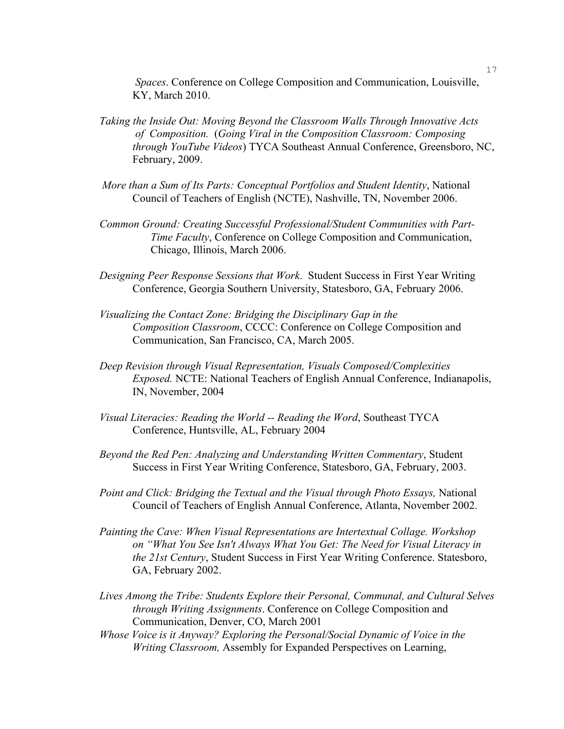*Spaces*. Conference on College Composition and Communication, Louisville, KY, March 2010.

- *Taking the Inside Out: Moving Beyond the Classroom Walls Through Innovative Acts of Composition.* (*Going Viral in the Composition Classroom: Composing through YouTube Videos*) TYCA Southeast Annual Conference, Greensboro, NC, February, 2009.
- *More than a Sum of Its Parts: Conceptual Portfolios and Student Identity*, National Council of Teachers of English (NCTE), Nashville, TN, November 2006.
- *Common Ground: Creating Successful Professional/Student Communities with Part-Time Faculty*, Conference on College Composition and Communication, Chicago, Illinois, March 2006.
- *Designing Peer Response Sessions that Work*. Student Success in First Year Writing Conference, Georgia Southern University, Statesboro, GA, February 2006.
- *Visualizing the Contact Zone: Bridging the Disciplinary Gap in the Composition Classroom*, CCCC: Conference on College Composition and Communication, San Francisco, CA, March 2005.
- *Deep Revision through Visual Representation, Visuals Composed/Complexities Exposed.* NCTE: National Teachers of English Annual Conference, Indianapolis, IN, November, 2004
- *Visual Literacies: Reading the World -- Reading the Word*, Southeast TYCA Conference, Huntsville, AL, February 2004
- *Beyond the Red Pen: Analyzing and Understanding Written Commentary*, Student Success in First Year Writing Conference, Statesboro, GA, February, 2003.
- *Point and Click: Bridging the Textual and the Visual through Photo Essays,* National Council of Teachers of English Annual Conference, Atlanta, November 2002.
- *Painting the Cave: When Visual Representations are Intertextual Collage. Workshop on "What You See Isn't Always What You Get: The Need for Visual Literacy in the 21st Century*, Student Success in First Year Writing Conference. Statesboro, GA, February 2002.
- *Lives Among the Tribe: Students Explore their Personal, Communal, and Cultural Selves through Writing Assignments*. Conference on College Composition and Communication, Denver, CO, March 2001
- *Whose Voice is it Anyway? Exploring the Personal/Social Dynamic of Voice in the Writing Classroom,* Assembly for Expanded Perspectives on Learning,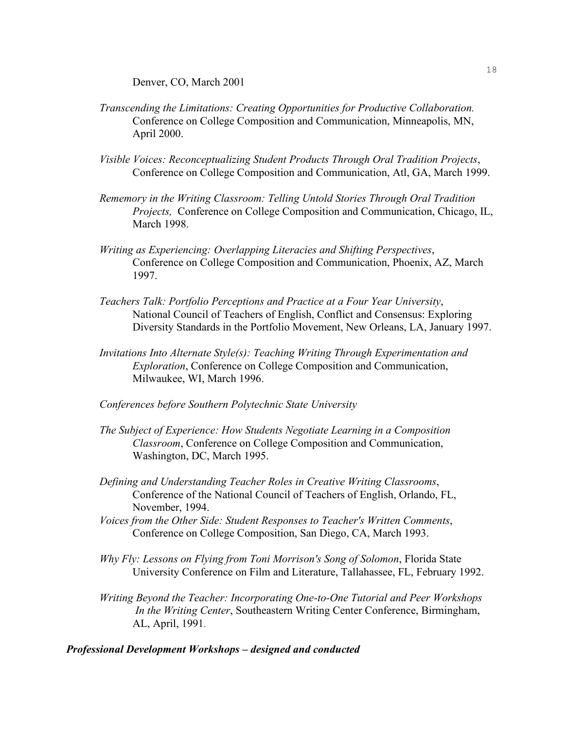Denver, CO, March 2001

- *Transcending the Limitations: Creating Opportunities for Productive Collaboration.* Conference on College Composition and Communication, Minneapolis, MN, April 2000.
- *Visible Voices: Reconceptualizing Student Products Through Oral Tradition Projects*, Conference on College Composition and Communication, Atl, GA, March 1999.
- *Rememory in the Writing Classroom: Telling Untold Stories Through Oral Tradition Projects,* Conference on College Composition and Communication, Chicago, IL, March 1998.
- *Writing as Experiencing: Overlapping Literacies and Shifting Perspectives*, Conference on College Composition and Communication, Phoenix, AZ, March 1997.
- *Teachers Talk: Portfolio Perceptions and Practice at a Four Year University*, National Council of Teachers of English, Conflict and Consensus: Exploring Diversity Standards in the Portfolio Movement, New Orleans, LA, January 1997.
- *Invitations Into Alternate Style(s): Teaching Writing Through Experimentation and Exploration*, Conference on College Composition and Communication, Milwaukee, WI, March 1996.
- *Conferences before Southern Polytechnic State University*
- *The Subject of Experience: How Students Negotiate Learning in a Composition Classroom*, Conference on College Composition and Communication, Washington, DC, March 1995.
- *Defining and Understanding Teacher Roles in Creative Writing Classrooms*, Conference of the National Council of Teachers of English, Orlando, FL, November, 1994.
- *Voices from the Other Side: Student Responses to Teacher's Written Comments*, Conference on College Composition, San Diego, CA, March 1993.
- *Why Fly: Lessons on Flying from Toni Morrison's Song of Solomon*, Florida State University Conference on Film and Literature, Tallahassee, FL, February 1992.
- *Writing Beyond the Teacher: Incorporating One-to-One Tutorial and Peer Workshops In the Writing Center*, Southeastern Writing Center Conference, Birmingham, AL, April, 1991.

### *Professional Development Workshops – designed and conducted*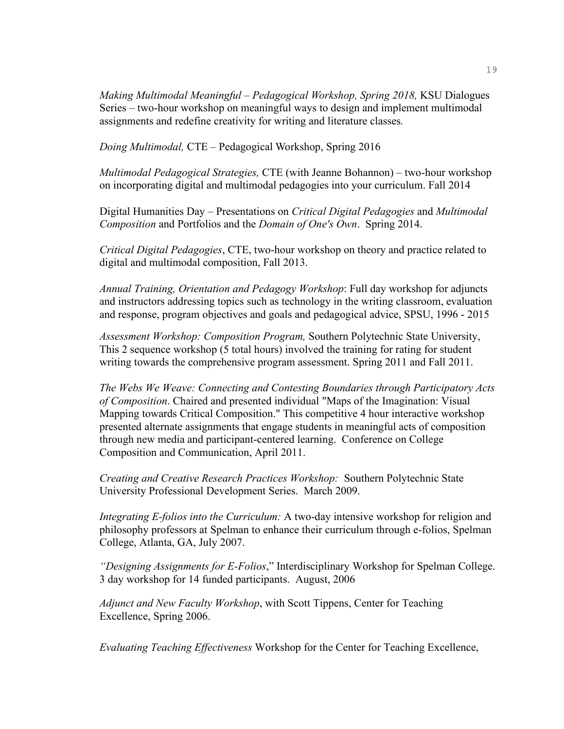*Making Multimodal Meaningful – Pedagogical Workshop, Spring 2018,* KSU Dialogues Series *–* two-hour workshop on meaningful ways to design and implement multimodal assignments and redefine creativity for writing and literature classes*.* 

*Doing Multimodal,* CTE – Pedagogical Workshop, Spring 2016

*Multimodal Pedagogical Strategies,* CTE (with Jeanne Bohannon) – two-hour workshop on incorporating digital and multimodal pedagogies into your curriculum. Fall 2014

Digital Humanities Day – Presentations on *Critical Digital Pedagogies* and *Multimodal Composition* and Portfolios and the *Domain of One's Own*. Spring 2014.

*Critical Digital Pedagogies*, CTE, two-hour workshop on theory and practice related to digital and multimodal composition, Fall 2013.

*Annual Training, Orientation and Pedagogy Workshop*: Full day workshop for adjuncts and instructors addressing topics such as technology in the writing classroom, evaluation and response, program objectives and goals and pedagogical advice, SPSU, 1996 - 2015

*Assessment Workshop: Composition Program,* Southern Polytechnic State University, This 2 sequence workshop (5 total hours) involved the training for rating for student writing towards the comprehensive program assessment. Spring 2011 and Fall 2011.

*The Webs We Weave: Connecting and Contesting Boundaries through Participatory Acts of Composition*. Chaired and presented individual "Maps of the Imagination: Visual Mapping towards Critical Composition." This competitive 4 hour interactive workshop presented alternate assignments that engage students in meaningful acts of composition through new media and participant-centered learning. Conference on College Composition and Communication, April 2011.

*Creating and Creative Research Practices Workshop:* Southern Polytechnic State University Professional Development Series. March 2009.

*Integrating E-folios into the Curriculum:* A two-day intensive workshop for religion and philosophy professors at Spelman to enhance their curriculum through e-folios, Spelman College, Atlanta, GA, July 2007.

*"Designing Assignments for E-Folios*," Interdisciplinary Workshop for Spelman College. 3 day workshop for 14 funded participants. August, 2006

*Adjunct and New Faculty Workshop*, with Scott Tippens, Center for Teaching Excellence, Spring 2006.

*Evaluating Teaching Effectiveness* Workshop for the Center for Teaching Excellence,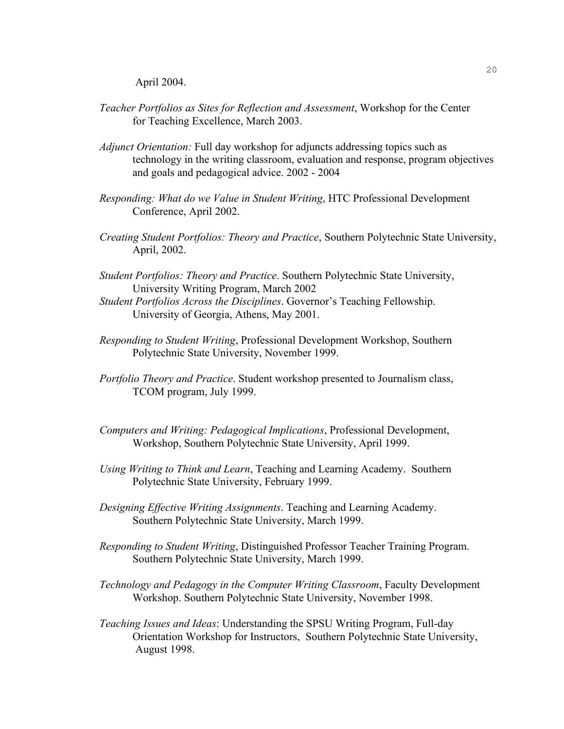April 2004.

- *Teacher Portfolios as Sites for Reflection and Assessment*, Workshop for the Center for Teaching Excellence, March 2003.
- *Adjunct Orientation:* Full day workshop for adjuncts addressing topics such as technology in the writing classroom, evaluation and response, program objectives and goals and pedagogical advice. 2002 - 2004
- *Responding: What do we Value in Student Writing*, HTC Professional Development Conference, April 2002.
- *Creating Student Portfolios: Theory and Practice*, Southern Polytechnic State University, April, 2002.
- *Student Portfolios: Theory and Practice*. Southern Polytechnic State University, University Writing Program, March 2002
- *Student Portfolios Across the Disciplines*. Governor's Teaching Fellowship. University of Georgia, Athens, May 2001.
- *Responding to Student Writing*, Professional Development Workshop, Southern Polytechnic State University, November 1999.
- *Portfolio Theory and Practice*. Student workshop presented to Journalism class, TCOM program, July 1999.
- *Computers and Writing: Pedagogical Implications*, Professional Development, Workshop, Southern Polytechnic State University, April 1999.
- *Using Writing to Think and Learn*, Teaching and Learning Academy. Southern Polytechnic State University, February 1999.
- *Designing Effective Writing Assignments*. Teaching and Learning Academy. Southern Polytechnic State University, March 1999.
- *Responding to Student Writing*, Distinguished Professor Teacher Training Program. Southern Polytechnic State University, March 1999.
- *Technology and Pedagogy in the Computer Writing Classroom*, Faculty Development Workshop. Southern Polytechnic State University, November 1998.
- *Teaching Issues and Ideas*: Understanding the SPSU Writing Program, Full-day Orientation Workshop for Instructors, Southern Polytechnic State University, August 1998.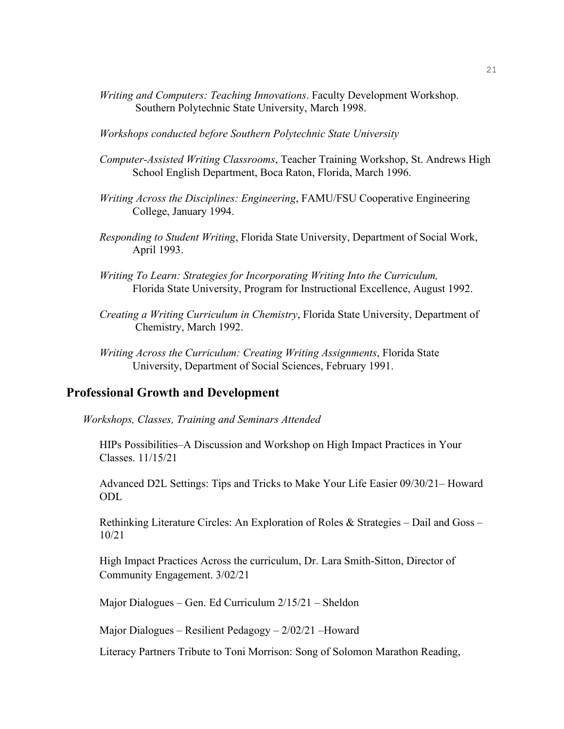- *Writing and Computers: Teaching Innovations*. Faculty Development Workshop. Southern Polytechnic State University, March 1998.
- *Workshops conducted before Southern Polytechnic State University*
- *Computer-Assisted Writing Classrooms*, Teacher Training Workshop, St. Andrews High School English Department, Boca Raton, Florida, March 1996.
- *Writing Across the Disciplines: Engineering*, FAMU/FSU Cooperative Engineering College, January 1994.
- *Responding to Student Writing*, Florida State University, Department of Social Work, April 1993.
- *Writing To Learn: Strategies for Incorporating Writing Into the Curriculum,*  Florida State University, Program for Instructional Excellence, August 1992.
- *Creating a Writing Curriculum in Chemistry*, Florida State University, Department of Chemistry, March 1992.
- *Writing Across the Curriculum: Creating Writing Assignments*, Florida State University, Department of Social Sciences, February 1991.

## **Professional Growth and Development**

*Workshops, Classes, Training and Seminars Attended*

HIPs Possibilities–A Discussion and Workshop on High Impact Practices in Your Classes. 11/15/21

Advanced D2L Settings: Tips and Tricks to Make Your Life Easier 09/30/21– Howard ODL

Rethinking Literature Circles: An Exploration of Roles & Strategies – Dail and Goss – 10/21

High Impact Practices Across the curriculum, Dr. Lara Smith-Sitton, Director of Community Engagement. 3/02/21

Major Dialogues – Gen. Ed Curriculum 2/15/21 – Sheldon

Major Dialogues – Resilient Pedagogy – 2/02/21 –Howard

Literacy Partners Tribute to Toni Morrison: Song of Solomon Marathon Reading,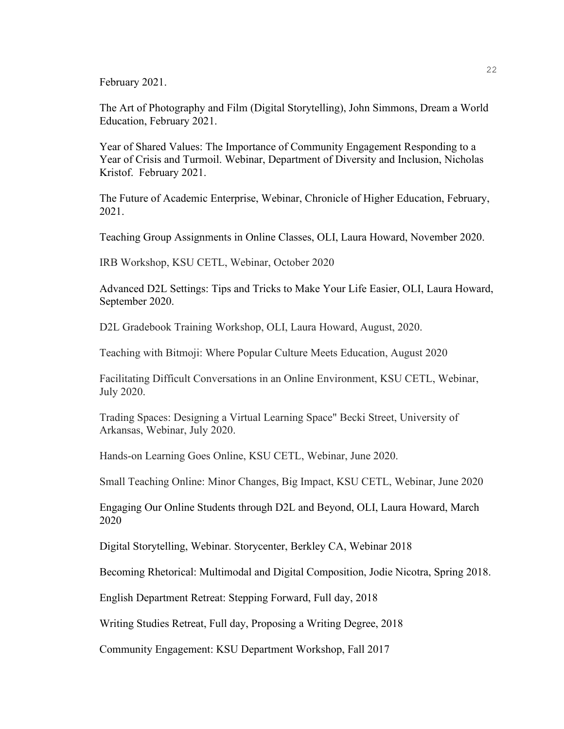February 2021.

The Art of Photography and Film (Digital Storytelling), John Simmons, Dream a World Education, February 2021.

Year of Shared Values: The Importance of Community Engagement Responding to a Year of Crisis and Turmoil. Webinar, Department of Diversity and Inclusion, Nicholas Kristof. February 2021.

The Future of Academic Enterprise, Webinar, Chronicle of Higher Education, February, 2021.

Teaching Group Assignments in Online Classes, OLI, Laura Howard, November 2020.

IRB Workshop, KSU CETL, Webinar, October 2020

Advanced D2L Settings: Tips and Tricks to Make Your Life Easier, OLI, Laura Howard, September 2020.

D2L Gradebook Training Workshop, OLI, Laura Howard, August, 2020.

Teaching with Bitmoji: Where Popular Culture Meets Education, August 2020

Facilitating Difficult Conversations in an Online Environment, KSU CETL, Webinar, July 2020.

Trading Spaces: Designing a Virtual Learning Space" Becki Street, University of Arkansas, Webinar, July 2020.

Hands-on Learning Goes Online, KSU CETL, Webinar, June 2020.

Small Teaching Online: Minor Changes, Big Impact, KSU CETL, Webinar, June 2020

Engaging Our Online Students through D2L and Beyond, OLI, Laura Howard, March 2020

Digital Storytelling, Webinar. Storycenter, Berkley CA, Webinar 2018

Becoming Rhetorical: Multimodal and Digital Composition, Jodie Nicotra, Spring 2018.

English Department Retreat: Stepping Forward, Full day, 2018

Writing Studies Retreat, Full day, Proposing a Writing Degree, 2018

Community Engagement: KSU Department Workshop, Fall 2017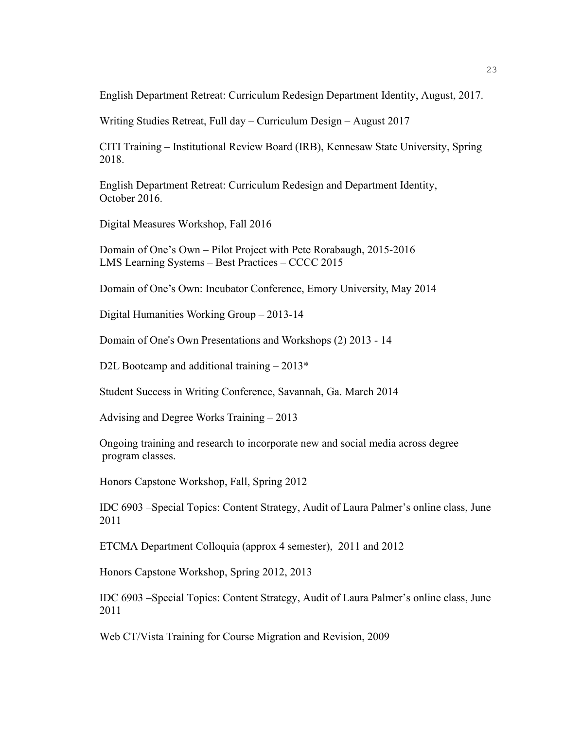English Department Retreat: Curriculum Redesign Department Identity, August, 2017.

Writing Studies Retreat, Full day – Curriculum Design – August 2017

CITI Training – Institutional Review Board (IRB), Kennesaw State University, Spring 2018.

English Department Retreat: Curriculum Redesign and Department Identity, October 2016.

Digital Measures Workshop, Fall 2016

Domain of One's Own – Pilot Project with Pete Rorabaugh, 2015-2016 LMS Learning Systems – Best Practices – CCCC 2015

Domain of One's Own: Incubator Conference, Emory University, May 2014

Digital Humanities Working Group – 2013-14

Domain of One's Own Presentations and Workshops (2) 2013 - 14

D2L Bootcamp and additional training  $-2013*$ 

Student Success in Writing Conference, Savannah, Ga. March 2014

Advising and Degree Works Training – 2013

Ongoing training and research to incorporate new and social media across degree program classes.

Honors Capstone Workshop, Fall, Spring 2012

IDC 6903 –Special Topics: Content Strategy, Audit of Laura Palmer's online class, June 2011

ETCMA Department Colloquia (approx 4 semester), 2011 and 2012

Honors Capstone Workshop, Spring 2012, 2013

IDC 6903 –Special Topics: Content Strategy, Audit of Laura Palmer's online class, June 2011

Web CT/Vista Training for Course Migration and Revision, 2009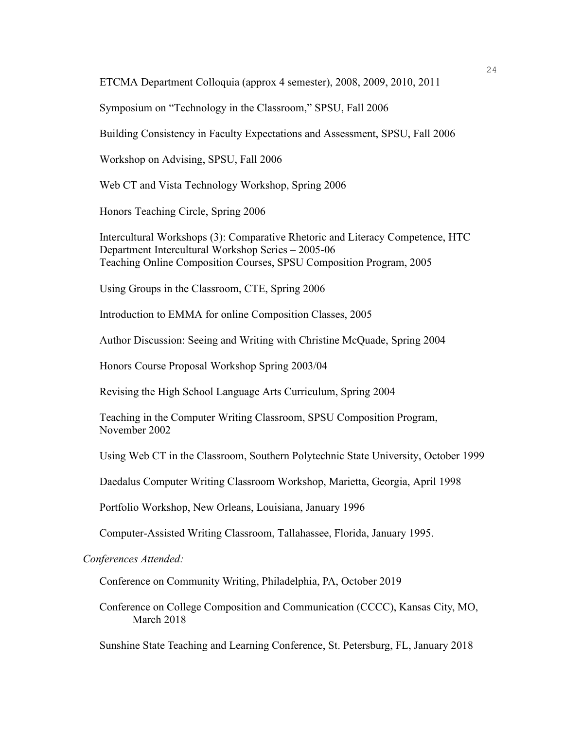ETCMA Department Colloquia (approx 4 semester), 2008, 2009, 2010, 2011

Symposium on "Technology in the Classroom," SPSU, Fall 2006

Building Consistency in Faculty Expectations and Assessment, SPSU, Fall 2006

Workshop on Advising, SPSU, Fall 2006

Web CT and Vista Technology Workshop, Spring 2006

Honors Teaching Circle, Spring 2006

Intercultural Workshops (3): Comparative Rhetoric and Literacy Competence, HTC Department Intercultural Workshop Series – 2005-06 Teaching Online Composition Courses, SPSU Composition Program, 2005

Using Groups in the Classroom, CTE, Spring 2006

Introduction to EMMA for online Composition Classes, 2005

Author Discussion: Seeing and Writing with Christine McQuade, Spring 2004

Honors Course Proposal Workshop Spring 2003/04

Revising the High School Language Arts Curriculum, Spring 2004

Teaching in the Computer Writing Classroom, SPSU Composition Program, November 2002

Using Web CT in the Classroom, Southern Polytechnic State University, October 1999

Daedalus Computer Writing Classroom Workshop, Marietta, Georgia, April 1998

Portfolio Workshop, New Orleans, Louisiana, January 1996

Computer-Assisted Writing Classroom, Tallahassee, Florida, January 1995.

*Conferences Attended:*

Conference on Community Writing, Philadelphia, PA, October 2019

Conference on College Composition and Communication (CCCC), Kansas City, MO, March 2018

Sunshine State Teaching and Learning Conference, St. Petersburg, FL, January 2018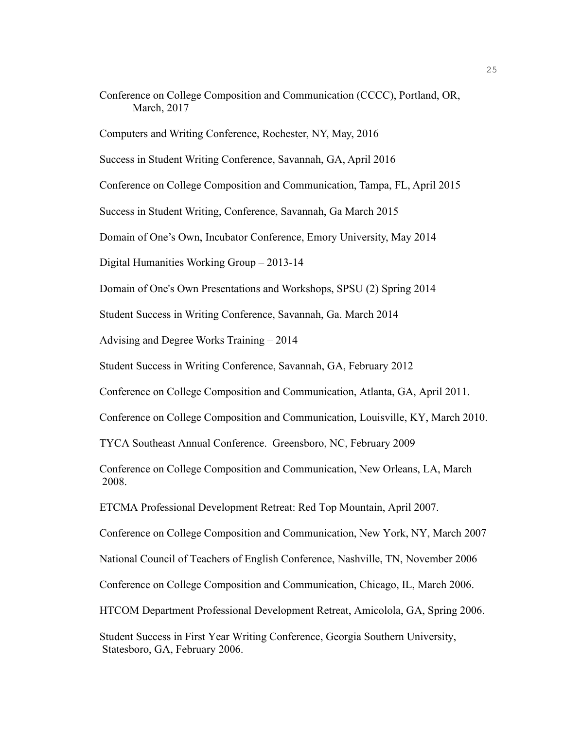Conference on College Composition and Communication (CCCC), Portland, OR, March, 2017

Computers and Writing Conference, Rochester, NY, May, 2016

Success in Student Writing Conference, Savannah, GA, April 2016

Conference on College Composition and Communication, Tampa, FL, April 2015

Success in Student Writing, Conference, Savannah, Ga March 2015

Domain of One's Own, Incubator Conference, Emory University, May 2014

Digital Humanities Working Group – 2013-14

Domain of One's Own Presentations and Workshops, SPSU (2) Spring 2014

Student Success in Writing Conference, Savannah, Ga. March 2014

Advising and Degree Works Training – 2014

Student Success in Writing Conference, Savannah, GA, February 2012

Conference on College Composition and Communication, Atlanta, GA, April 2011.

Conference on College Composition and Communication, Louisville, KY, March 2010.

TYCA Southeast Annual Conference. Greensboro, NC, February 2009

Conference on College Composition and Communication, New Orleans, LA, March 2008.

ETCMA Professional Development Retreat: Red Top Mountain, April 2007.

Conference on College Composition and Communication, New York, NY, March 2007

National Council of Teachers of English Conference, Nashville, TN, November 2006

Conference on College Composition and Communication, Chicago, IL, March 2006.

HTCOM Department Professional Development Retreat, Amicolola, GA, Spring 2006.

Student Success in First Year Writing Conference, Georgia Southern University, Statesboro, GA, February 2006.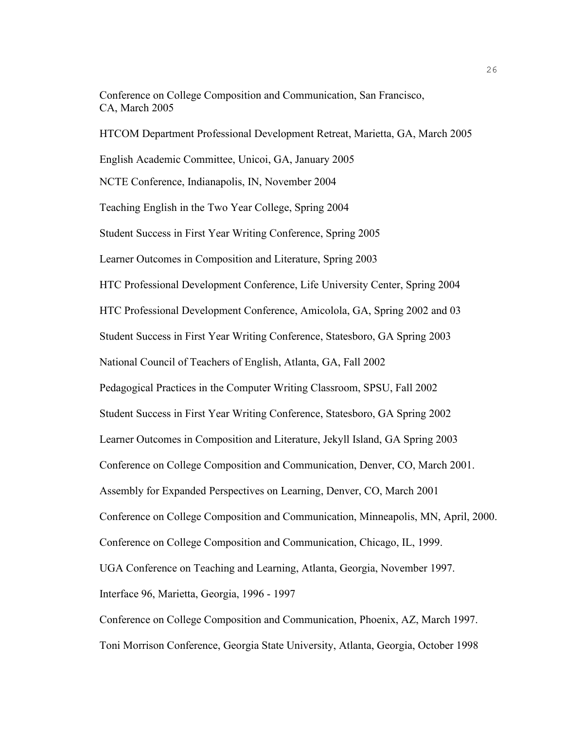Conference on College Composition and Communication, San Francisco, CA, March 2005

HTCOM Department Professional Development Retreat, Marietta, GA, March 2005 English Academic Committee, Unicoi, GA, January 2005 NCTE Conference, Indianapolis, IN, November 2004 Teaching English in the Two Year College, Spring 2004 Student Success in First Year Writing Conference, Spring 2005 Learner Outcomes in Composition and Literature, Spring 2003 HTC Professional Development Conference, Life University Center, Spring 2004 HTC Professional Development Conference, Amicolola, GA, Spring 2002 and 03 Student Success in First Year Writing Conference, Statesboro, GA Spring 2003 National Council of Teachers of English, Atlanta, GA, Fall 2002 Pedagogical Practices in the Computer Writing Classroom, SPSU, Fall 2002 Student Success in First Year Writing Conference, Statesboro, GA Spring 2002 Learner Outcomes in Composition and Literature, Jekyll Island, GA Spring 2003 Conference on College Composition and Communication, Denver, CO, March 2001. Assembly for Expanded Perspectives on Learning, Denver, CO, March 2001 Conference on College Composition and Communication, Minneapolis, MN, April, 2000. Conference on College Composition and Communication, Chicago, IL, 1999. UGA Conference on Teaching and Learning, Atlanta, Georgia, November 1997. Interface 96, Marietta, Georgia, 1996 - 1997 Conference on College Composition and Communication, Phoenix, AZ, March 1997.

Toni Morrison Conference, Georgia State University, Atlanta, Georgia, October 1998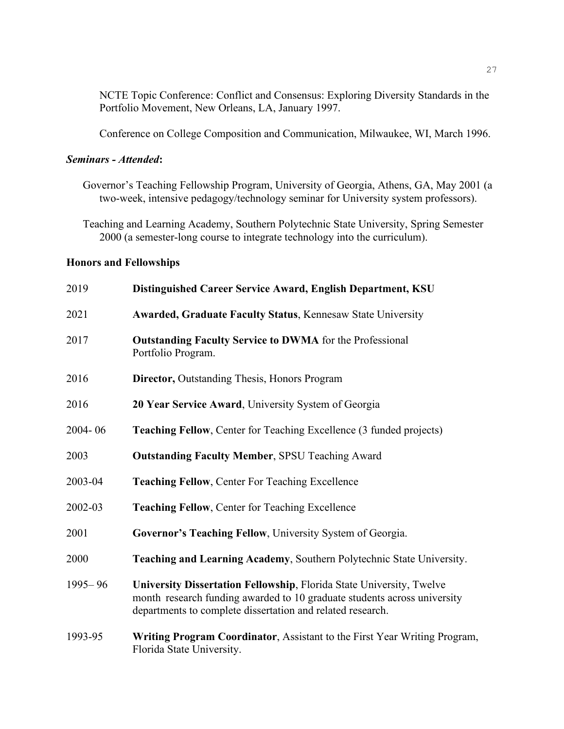NCTE Topic Conference: Conflict and Consensus: Exploring Diversity Standards in the Portfolio Movement, New Orleans, LA, January 1997.

Conference on College Composition and Communication, Milwaukee, WI, March 1996.

## *Seminars - Attended***:**

Governor's Teaching Fellowship Program, University of Georgia, Athens, GA, May 2001 (a two-week, intensive pedagogy/technology seminar for University system professors).

Teaching and Learning Academy, Southern Polytechnic State University, Spring Semester 2000 (a semester-long course to integrate technology into the curriculum).

#### **Honors and Fellowships**

| 2019        | Distinguished Career Service Award, English Department, KSU                                                                                                                                                    |
|-------------|----------------------------------------------------------------------------------------------------------------------------------------------------------------------------------------------------------------|
| 2021        | <b>Awarded, Graduate Faculty Status, Kennesaw State University</b>                                                                                                                                             |
| 2017        | <b>Outstanding Faculty Service to DWMA</b> for the Professional<br>Portfolio Program.                                                                                                                          |
| 2016        | <b>Director, Outstanding Thesis, Honors Program</b>                                                                                                                                                            |
| 2016        | 20 Year Service Award, University System of Georgia                                                                                                                                                            |
| 2004-06     | <b>Teaching Fellow, Center for Teaching Excellence (3 funded projects)</b>                                                                                                                                     |
| 2003        | <b>Outstanding Faculty Member, SPSU Teaching Award</b>                                                                                                                                                         |
| 2003-04     | <b>Teaching Fellow, Center For Teaching Excellence</b>                                                                                                                                                         |
| 2002-03     | <b>Teaching Fellow, Center for Teaching Excellence</b>                                                                                                                                                         |
| 2001        | Governor's Teaching Fellow, University System of Georgia.                                                                                                                                                      |
| 2000        | Teaching and Learning Academy, Southern Polytechnic State University.                                                                                                                                          |
| $1995 - 96$ | University Dissertation Fellowship, Florida State University, Twelve<br>month research funding awarded to 10 graduate students across university<br>departments to complete dissertation and related research. |
| 1993-95     | Writing Program Coordinator, Assistant to the First Year Writing Program,<br>Florida State University.                                                                                                         |